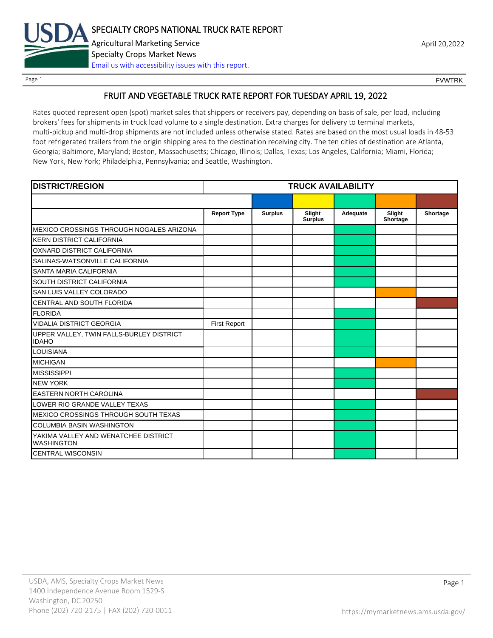

Page 1 FOUNTRK CONTROL CONTROL CONTROL CONTROL CONTROL CONTROL CONTROL CONTROL CONTROL CONTROL CONTROL CONTROL CONTROL CONTROL CONTROL CONTROL CONTROL CONTROL CONTROL CONTROL CONTROL CONTROL CONTROL CONTROL CONTROL CONTROL

# FRUIT AND VEGETABLE TRUCK RATE REPORT FOR TUESDAY APRIL 19, 2022

Rates quoted represent open (spot) market sales that shippers or receivers pay, depending on basis of sale, per load, including brokers' fees for shipments in truck load volume to a single destination. Extra charges for delivery to terminal markets, multi-pickup and multi-drop shipments are not included unless otherwise stated. Rates are based on the most usual loads in 48-53 foot refrigerated trailers from the origin shipping area to the destination receiving city. The ten cities of destination are Atlanta, Georgia; Baltimore, Maryland; Boston, Massachusetts; Chicago, Illinois; Dallas, Texas; Los Angeles, California; Miami, Florida; New York, New York; Philadelphia, Pennsylvania; and Seattle, Washington.

| <b>DISTRICT/REGION</b>                                    |                     |                | <b>TRUCK AVAILABILITY</b> |          |                    |          |
|-----------------------------------------------------------|---------------------|----------------|---------------------------|----------|--------------------|----------|
|                                                           |                     |                |                           |          |                    |          |
|                                                           | <b>Report Type</b>  | <b>Surplus</b> | Slight<br><b>Surplus</b>  | Adequate | Slight<br>Shortage | Shortage |
| MEXICO CROSSINGS THROUGH NOGALES ARIZONA                  |                     |                |                           |          |                    |          |
| <b>KERN DISTRICT CALIFORNIA</b>                           |                     |                |                           |          |                    |          |
| OXNARD DISTRICT CALIFORNIA                                |                     |                |                           |          |                    |          |
| SALINAS-WATSONVILLE CALIFORNIA                            |                     |                |                           |          |                    |          |
| SANTA MARIA CALIFORNIA                                    |                     |                |                           |          |                    |          |
| SOUTH DISTRICT CALIFORNIA                                 |                     |                |                           |          |                    |          |
| SAN LUIS VALLEY COLORADO                                  |                     |                |                           |          |                    |          |
| CENTRAL AND SOUTH FLORIDA                                 |                     |                |                           |          |                    |          |
| <b>FLORIDA</b>                                            |                     |                |                           |          |                    |          |
| <b>VIDALIA DISTRICT GEORGIA</b>                           | <b>First Report</b> |                |                           |          |                    |          |
| UPPER VALLEY, TWIN FALLS-BURLEY DISTRICT<br><b>IDAHO</b>  |                     |                |                           |          |                    |          |
| <b>LOUISIANA</b>                                          |                     |                |                           |          |                    |          |
| <b>MICHIGAN</b>                                           |                     |                |                           |          |                    |          |
| <b>MISSISSIPPI</b>                                        |                     |                |                           |          |                    |          |
| <b>NEW YORK</b>                                           |                     |                |                           |          |                    |          |
| <b>EASTERN NORTH CAROLINA</b>                             |                     |                |                           |          |                    |          |
| LOWER RIO GRANDE VALLEY TEXAS                             |                     |                |                           |          |                    |          |
| MEXICO CROSSINGS THROUGH SOUTH TEXAS                      |                     |                |                           |          |                    |          |
| <b>COLUMBIA BASIN WASHINGTON</b>                          |                     |                |                           |          |                    |          |
| YAKIMA VALLEY AND WENATCHEE DISTRICT<br><b>WASHINGTON</b> |                     |                |                           |          |                    |          |
| <b>CENTRAL WISCONSIN</b>                                  |                     |                |                           |          |                    |          |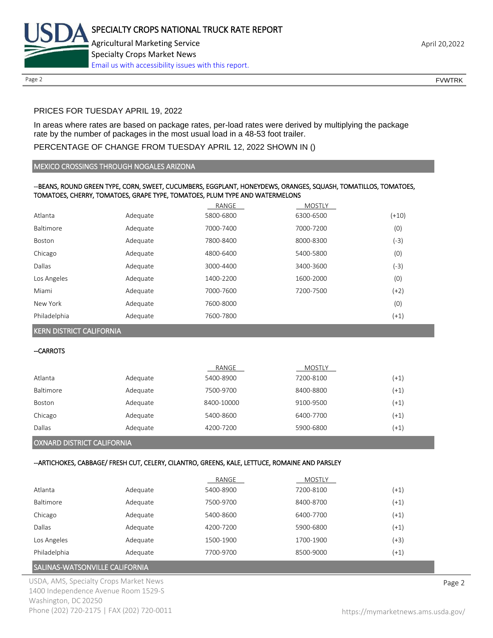

Page 2 FOUNTRK CONTROL CONTROL CONTROL CONTROL CONTROL CONTROL CONTROL CONTROL CONTROL CONTROL CONTROL CONTROL CONTROL CONTROL CONTROL CONTROL CONTROL CONTROL CONTROL CONTROL CONTROL CONTROL CONTROL CONTROL CONTROL CONTROL

# PRICES FOR TUESDAY APRIL 19, 2022

In areas where rates are based on package rates, per-load rates were derived by multiplying the package rate by the number of packages in the most usual load in a 48-53 foot trailer.

## PERCENTAGE OF CHANGE FROM TUESDAY APRIL 12, 2022 SHOWN IN ()

#### MEXICO CROSSINGS THROUGH NOGALES ARIZONA

#### --BEANS, ROUND GREEN TYPE, CORN, SWEET, CUCUMBERS, EGGPLANT, HONEYDEWS, ORANGES, SQUASH, TOMATILLOS, TOMATOES, TOMATOES, CHERRY, TOMATOES, GRAPE TYPE, TOMATOES, PLUM TYPE AND WATERMELONS

|              |          | RANGE     | <b>MOSTLY</b> |         |
|--------------|----------|-----------|---------------|---------|
| Atlanta      | Adequate | 5800-6800 | 6300-6500     | $(+10)$ |
| Baltimore    | Adequate | 7000-7400 | 7000-7200     | (0)     |
| Boston       | Adequate | 7800-8400 | 8000-8300     | (-3)    |
| Chicago      | Adequate | 4800-6400 | 5400-5800     | (0)     |
| Dallas       | Adequate | 3000-4400 | 3400-3600     | (-3)    |
| Los Angeles  | Adequate | 1400-2200 | 1600-2000     | (0)     |
| Miami        | Adequate | 7000-7600 | 7200-7500     | (+2)    |
| New York     | Adequate | 7600-8000 |               | (0)     |
| Philadelphia | Adequate | 7600-7800 |               | $(+1)$  |

KERN DISTRICT CALIFORNIA

--CARROTS

|               |          | RANGE      | MOSTLY    |        |
|---------------|----------|------------|-----------|--------|
| Atlanta       | Adequate | 5400-8900  | 7200-8100 | $(+1)$ |
| Baltimore     | Adequate | 7500-9700  | 8400-8800 | $(+1)$ |
| <b>Boston</b> | Adequate | 8400-10000 | 9100-9500 | $(+1)$ |
| Chicago       | Adequate | 5400-8600  | 6400-7700 | $(+1)$ |
| Dallas        | Adequate | 4200-7200  | 5900-6800 | $(+1)$ |

# OXNARD DISTRICT CALIFORNIA

## --ARTICHOKES, CABBAGE/ FRESH CUT, CELERY, CILANTRO, GREENS, KALE, LETTUCE, ROMAINE AND PARSLEY

|              |          | RANGE     | <b>MOSTLY</b> |        |
|--------------|----------|-----------|---------------|--------|
| Atlanta      | Adequate | 5400-8900 | 7200-8100     | $(+1)$ |
| Baltimore    | Adequate | 7500-9700 | 8400-8700     | (+1)   |
| Chicago      | Adequate | 5400-8600 | 6400-7700     | $(+1)$ |
| Dallas       | Adequate | 4200-7200 | 5900-6800     | $(+1)$ |
| Los Angeles  | Adequate | 1500-1900 | 1700-1900     | (+3)   |
| Philadelphia | Adequate | 7700-9700 | 8500-9000     | $(+1)$ |

# SALINAS-WATSONVILLE CALIFORNIA

USDA, AMS, Specialty Crops Market News **Page 2** 1400 Independence Avenue Room 1529-S Washington, DC 20250 Phone (202) 720-2175 | FAX (202) 720-0011 <https://mymarketnews.ams.usda.gov/>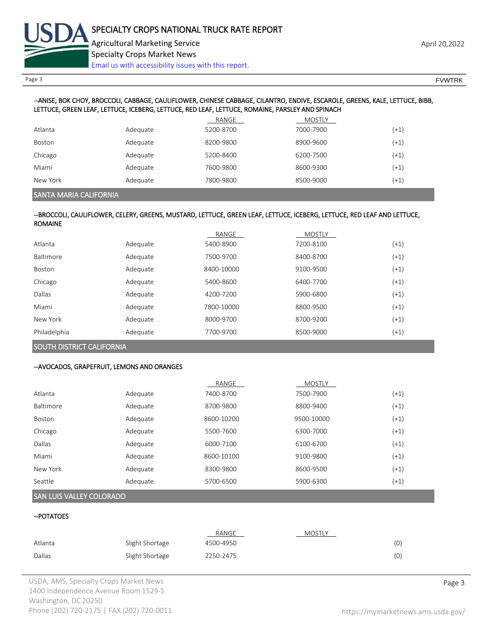

Page 3 FOUNTRK And the set of the set of the set of the set of the set of the set of the set of the set of the set of the set of the set of the set of the set of the set of the set of the set of the set of the set of the s

#### --ANISE, BOK CHOY, BROCCOLI, CABBAGE, CAULIFLOWER, CHINESE CABBAGE, CILANTRO, ENDIVE, ESCAROLE, GREENS, KALE, LETTUCE, BIBB, LETTUCE, GREEN LEAF, LETTUCE, ICEBERG, LETTUCE, RED LEAF, LETTUCE, ROMAINE, PARSLEY AND SPINACH

|               |          | RANGE     | <b>MOSTLY</b> |        |
|---------------|----------|-----------|---------------|--------|
| Atlanta       | Adequate | 5200-8700 | 7000-7900     | $(+1)$ |
| <b>Boston</b> | Adequate | 8200-9800 | 8900-9600     | $(+1)$ |
| Chicago       | Adequate | 5200-8400 | 6200-7500     | $(+1)$ |
| Miami         | Adequate | 7600-9800 | 8600-9300     | $(+1)$ |
| New York      | Adequate | 7800-9800 | 8500-9000     | $(+1)$ |

#### SANTA MARIA CALIFORNIA

#### --BROCCOLI, CAULIFLOWER, CELERY, GREENS, MUSTARD, LETTUCE, GREEN LEAF, LETTUCE, ICEBERG, LETTUCE, RED LEAF AND LETTUCE, ROMAINE

|                  |          | RANGE      | <b>MOSTLY</b> |        |
|------------------|----------|------------|---------------|--------|
| Atlanta          | Adequate | 5400-8900  | 7200-8100     | $(+1)$ |
| <b>Baltimore</b> | Adequate | 7500-9700  | 8400-8700     | $(+1)$ |
| Boston           | Adequate | 8400-10000 | 9100-9500     | $(+1)$ |
| Chicago          | Adequate | 5400-8600  | 6400-7700     | $(+1)$ |
| Dallas           | Adequate | 4200-7200  | 5900-6800     | $(+1)$ |
| Miami            | Adequate | 7800-10000 | 8800-9500     | $(+1)$ |
| New York         | Adequate | 8000-9700  | 8700-9200     | $(+1)$ |
| Philadelphia     | Adequate | 7700-9700  | 8500-9000     | $(+1)$ |

# SOUTH DISTRICT CALIFORNIA

#### --AVOCADOS, GRAPEFRUIT, LEMONS AND ORANGES

|               |          | RANGE      | <b>MOSTLY</b> |        |
|---------------|----------|------------|---------------|--------|
| Atlanta       | Adequate | 7400-8700  | 7500-7900     | $(+1)$ |
| Baltimore     | Adequate | 8700-9800  | 8800-9400     | $(+1)$ |
| <b>Boston</b> | Adequate | 8600-10200 | 9500-10000    | $(+1)$ |
| Chicago       | Adequate | 5500-7600  | 6300-7000     | $(+1)$ |
| Dallas        | Adequate | 6000-7100  | 6100-6700     | $(+1)$ |
| Miami         | Adequate | 8600-10100 | 9100-9800     | $(+1)$ |
| New York      | Adequate | 8300-9800  | 8600-9500     | $(+1)$ |
| Seattle       | Adequate | 5700-6500  | 5900-6300     | $(+1)$ |

# SAN LUIS VALLEY COLORADO

## --POTATOES

|         |                 | RANGE     | <b>MOSTLY</b> |     |
|---------|-----------------|-----------|---------------|-----|
| Atlanta | Slight Shortage | 4500-4950 |               | (0) |
| Dallas  | Slight Shortage | 2250-2475 |               | (0) |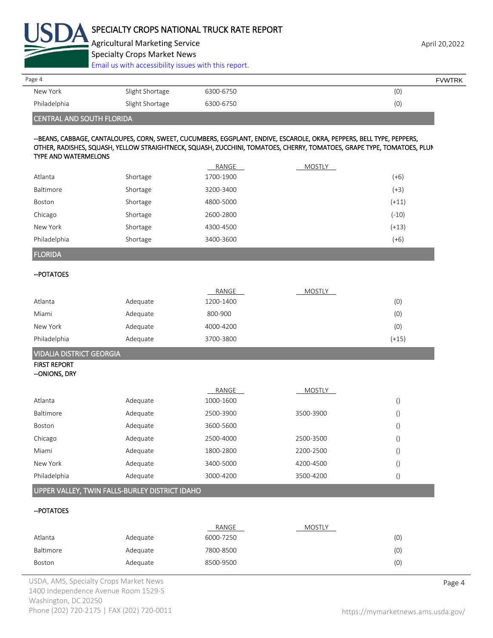

Agricultural Marketing Service **April 20,2022** April 20,2022 Specialty Crops Market News

[Email us with accessibility issues with this report.](mailto:mars@ams.usda.gov?subject=508%20Inquiry/Report)

| Page 4         |                 |           | <b>FVWTRK</b> |
|----------------|-----------------|-----------|---------------|
| New York       | Slight Shortage | 6300-6750 | (0)           |
| Philadelphia   | Slight Shortage | 6300-6750 | (0)           |
| $\overline{a}$ |                 |           |               |

# CENTRAL AND SOUTH FLORIDA

#### --BEANS, CABBAGE, CANTALOUPES, CORN, SWEET, CUCUMBERS, EGGPLANT, ENDIVE, ESCAROLE, OKRA, PEPPERS, BELL TYPE, PEPPERS, OTHER, RADISHES, SQUASH, YELLOW STRAIGHTNECK, SQUASH, ZUCCHINI, TOMATOES, CHERRY, TOMATOES, GRAPE TYPE, TOMATOES, PLUM TYPE AND WATERMELONS

|          | RANGE     | <b>MOSTLY</b> |         |
|----------|-----------|---------------|---------|
| Shortage | 1700-1900 |               | $(+6)$  |
| Shortage | 3200-3400 |               | $(+3)$  |
| Shortage | 4800-5000 |               | $(+11)$ |
| Shortage | 2600-2800 |               | $(-10)$ |
| Shortage | 4300-4500 |               | $(+13)$ |
| Shortage | 3400-3600 |               | (+6)    |
|          |           |               |         |

#### FLORIDA

#### --POTATOES

|              |          | RANGE     | <b>MOSTLY</b> |         |
|--------------|----------|-----------|---------------|---------|
| Atlanta      | Adequate | 1200-1400 |               | (0)     |
| Miami        | Adequate | 800-900   |               | (0)     |
| New York     | Adequate | 4000-4200 |               | (0)     |
| Philadelphia | Adequate | 3700-3800 |               | $(+15)$ |

VIDALIA DISTRICT GEORGIA

# FIRST REPORT

#### --ONIONS, DRY

|                  |          | RANGE     | <b>MOSTLY</b> |  |
|------------------|----------|-----------|---------------|--|
| Atlanta          | Adequate | 1000-1600 |               |  |
| <b>Baltimore</b> | Adequate | 2500-3900 | 3500-3900     |  |
| Boston           | Adequate | 3600-5600 |               |  |
| Chicago          | Adequate | 2500-4000 | 2500-3500     |  |
| Miami            | Adequate | 1800-2800 | 2200-2500     |  |
| New York         | Adequate | 3400-5000 | 4200-4500     |  |
| Philadelphia     | Adequate | 3000-4200 | 3500-4200     |  |

# UPPER VALLEY, TWIN FALLS-BURLEY DISTRICT IDAHO

#### --POTATOES

|           |          | RANGE     | <b>MOSTLY</b> |     |
|-----------|----------|-----------|---------------|-----|
| Atlanta   | Adequate | 6000-7250 |               | (0) |
| Baltimore | Adequate | 7800-8500 |               | (0) |
| Boston    | Adequate | 8500-9500 |               | (0) |

USDA, AMS, Specialty Crops Market News **Page 4** 1400 Independence Avenue Room 1529-S Washington, DC 20250 Phone (202) 720-2175 | FAX (202) 720-0011 <https://mymarketnews.ams.usda.gov/>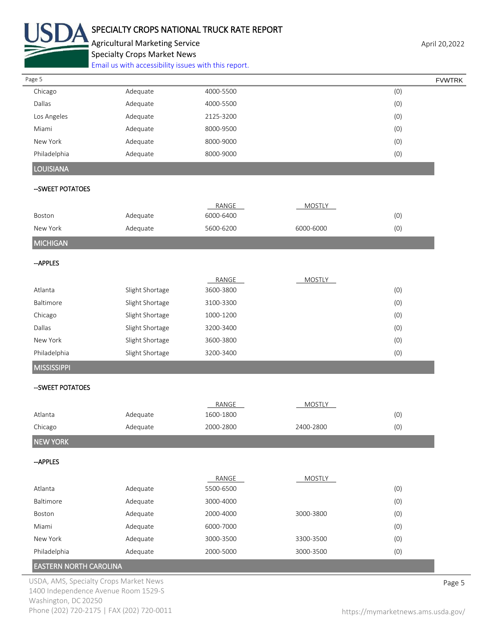

# SPECIALTY CROPS NATIONAL TRUCK RATE REPORT

Agricultural Marketing Service **April 20,2022** April 20,2022 Specialty Crops Market News

[Email us with accessibility issues with this report.](mailto:mars@ams.usda.gov?subject=508%20Inquiry/Report)

| Page 5           |          |           | <b>FVWTRK</b> |
|------------------|----------|-----------|---------------|
| Chicago          | Adequate | 4000-5500 | (0)           |
| <b>Dallas</b>    | Adequate | 4000-5500 | (0)           |
| Los Angeles      | Adequate | 2125-3200 | (0)           |
| Miami            | Adequate | 8000-9500 | (0)           |
| New York         | Adequate | 8000-9000 | (0)           |
| Philadelphia     | Adequate | 8000-9000 | (0)           |
| <b>LOUISIANA</b> |          |           |               |

# --SWEET POTATOES

| <b>MICHIGAN</b> |          |           |           |     |
|-----------------|----------|-----------|-----------|-----|
| New York        | Adequate | 5600-6200 | 6000-6000 | (0) |
| Boston          | Adequate | 6000-6400 |           | (0) |
|                 |          | RANGE     | MOSTLY    |     |
|                 |          |           |           |     |

#### --APPLES

|                  |                 | RANGE     | MOSTLY |     |
|------------------|-----------------|-----------|--------|-----|
| Atlanta          | Slight Shortage | 3600-3800 |        | (0) |
| <b>Baltimore</b> | Slight Shortage | 3100-3300 |        | (0) |
| Chicago          | Slight Shortage | 1000-1200 |        | (0) |
| Dallas           | Slight Shortage | 3200-3400 |        | (0) |
| New York         | Slight Shortage | 3600-3800 |        | (0) |
| Philadelphia     | Slight Shortage | 3200-3400 |        | (0) |
|                  |                 |           |        |     |

# **MISSISSIPPI**

## --SWEET POTATOES

|                               |          | RANGE     | <b>MOSTLY</b> |     |
|-------------------------------|----------|-----------|---------------|-----|
| Atlanta                       | Adequate | 1600-1800 |               | (0) |
| Chicago                       | Adequate | 2000-2800 | 2400-2800     | (0) |
| <b>NEW YORK</b>               |          |           |               |     |
| --APPLES                      |          |           |               |     |
|                               |          | RANGE     | <b>MOSTLY</b> |     |
| Atlanta                       | Adequate | 5500-6500 |               | (0) |
| Baltimore                     | Adequate | 3000-4000 |               | (0) |
| Boston                        | Adequate | 2000-4000 | 3000-3800     | (0) |
| Miami                         | Adequate | 6000-7000 |               | (0) |
| New York                      | Adequate | 3000-3500 | 3300-3500     | (0) |
| Philadelphia                  | Adequate | 2000-5000 | 3000-3500     | (0) |
| <b>EASTERN NORTH CAROLINA</b> |          |           |               |     |

USDA, AMS, Specialty Crops Market News **Page 5** 1400 Independence Avenue Room 1529-S Washington, DC 20250 Phone (202) 720-2175 | FAX (202) 720-0011 <https://mymarketnews.ams.usda.gov/>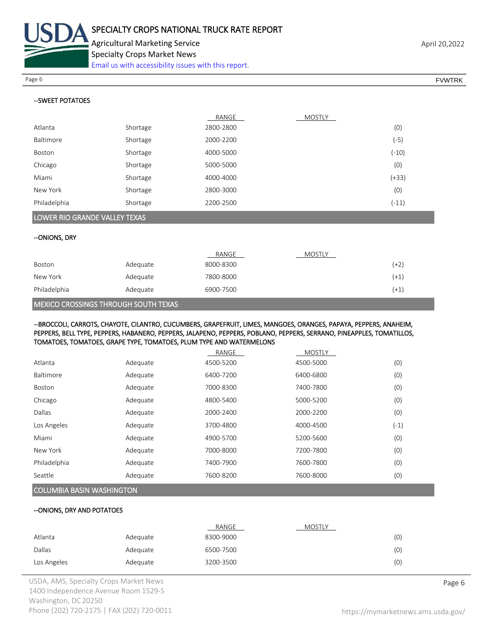

Specialty Crops Market News

[Email us with accessibility issues with this report.](mailto:mars@ams.usda.gov?subject=508%20Inquiry/Report)

Page 6 FVWTRK

#### --SWEET POTATOES

|              |          | RANGE     | <b>MOSTLY</b> |         |
|--------------|----------|-----------|---------------|---------|
| Atlanta      | Shortage | 2800-2800 |               | (0)     |
| Baltimore    | Shortage | 2000-2200 |               | $(-5)$  |
| Boston       | Shortage | 4000-5000 |               | $(-10)$ |
| Chicago      | Shortage | 5000-5000 |               | (0)     |
| Miami        | Shortage | 4000-4000 |               | $(+33)$ |
| New York     | Shortage | 2800-3000 |               | (0)     |
| Philadelphia | Shortage | 2200-2500 |               | $(-11)$ |

# LOWER RIO GRANDE VALLEY TEXAS

#### --ONIONS, DRY

|              |          | RANGE     | <b>MOSTLY</b> |        |
|--------------|----------|-----------|---------------|--------|
| Boston       | Adequate | 8000-8300 |               | (+2)   |
| New York     | Adequate | 7800-8000 |               | $(+1)$ |
| Philadelphia | Adequate | 6900-7500 |               | (+1    |
|              |          |           |               |        |

#### MEXICO CROSSINGS THROUGH SOUTH TEXAS

#### --BROCCOLI, CARROTS, CHAYOTE, CILANTRO, CUCUMBERS, GRAPEFRUIT, LIMES, MANGOES, ORANGES, PAPAYA, PEPPERS, ANAHEIM, PEPPERS, BELL TYPE, PEPPERS, HABANERO, PEPPERS, JALAPENO, PEPPERS, POBLANO, PEPPERS, SERRANO, PINEAPPLES, TOMATILLOS, TOMATOES, TOMATOES, GRAPE TYPE, TOMATOES, PLUM TYPE AND WATERMELONS

|              |          | RANGE     | <b>MOSTLY</b> |        |
|--------------|----------|-----------|---------------|--------|
| Atlanta      | Adequate | 4500-5200 | 4500-5000     | (0)    |
| Baltimore    | Adequate | 6400-7200 | 6400-6800     | (0)    |
| Boston       | Adequate | 7000-8300 | 7400-7800     | (0)    |
| Chicago      | Adequate | 4800-5400 | 5000-5200     | (0)    |
| Dallas       | Adequate | 2000-2400 | 2000-2200     | (0)    |
| Los Angeles  | Adequate | 3700-4800 | 4000-4500     | $(-1)$ |
| Miami        | Adequate | 4900-5700 | 5200-5600     | (0)    |
| New York     | Adequate | 7000-8000 | 7200-7800     | (0)    |
| Philadelphia | Adequate | 7400-7900 | 7600-7800     | (0)    |
| Seattle      | Adequate | 7600-8200 | 7600-8000     | (0)    |

## COLUMBIA BASIN WASHINGTON

#### --ONIONS, DRY AND POTATOES

|             |          | RANGE     | <b>MOSTLY</b> |     |
|-------------|----------|-----------|---------------|-----|
| Atlanta     | Adequate | 8300-9000 |               | (0) |
| Dallas      | Adequate | 6500-7500 |               | (0) |
| Los Angeles | Adequate | 3200-3500 |               | (0) |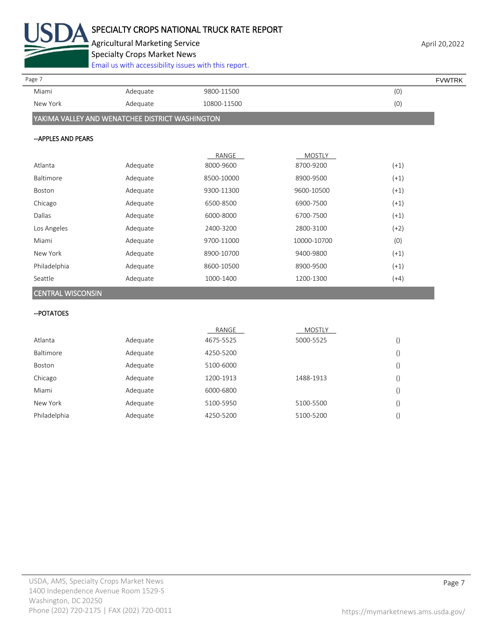

Agricultural Marketing Service **April 20,2022** April 20,2022 Specialty Crops Market News

[Email us with accessibility issues with this report.](mailto:mars@ams.usda.gov?subject=508%20Inquiry/Report)

Miami Adequate 9800-11500 (0) New York Adequate 10800-11500 (0) YAKIMA VALLEY AND WENATCHEE DISTRICT WASHINGTON Page 7 FOUNTRK And the set of the set of the set of the set of the set of the set of the set of the set of the set of the set of the set of the set of the set of the set of the set of the set of the set of the set of the s

#### --APPLES AND PEARS

|                  |          | RANGE      | <b>MOSTLY</b> |        |
|------------------|----------|------------|---------------|--------|
| Atlanta          | Adequate | 8000-9600  | 8700-9200     | $(+1)$ |
| <b>Baltimore</b> | Adequate | 8500-10000 | 8900-9500     | $(+1)$ |
| Boston           | Adequate | 9300-11300 | 9600-10500    | $(+1)$ |
| Chicago          | Adequate | 6500-8500  | 6900-7500     | $(+1)$ |
| Dallas           | Adequate | 6000-8000  | 6700-7500     | $(+1)$ |
| Los Angeles      | Adequate | 2400-3200  | 2800-3100     | $(+2)$ |
| Miami            | Adequate | 9700-11000 | 10000-10700   | (0)    |
| New York         | Adequate | 8900-10700 | 9400-9800     | $(+1)$ |
| Philadelphia     | Adequate | 8600-10500 | 8900-9500     | $(+1)$ |
| Seattle          | Adequate | 1000-1400  | 1200-1300     | $(+4)$ |

# CENTRAL WISCONSIN

## --POTATOES

|              |          | RANGE     | <b>MOSTLY</b> |                  |
|--------------|----------|-----------|---------------|------------------|
| Atlanta      | Adequate | 4675-5525 | 5000-5525     | $\left( \right)$ |
| Baltimore    | Adequate | 4250-5200 |               | $\left( \right)$ |
| Boston       | Adequate | 5100-6000 |               | $\left( \right)$ |
| Chicago      | Adequate | 1200-1913 | 1488-1913     | $\left( \right)$ |
| Miami        | Adequate | 6000-6800 |               | $\left( \right)$ |
| New York     | Adequate | 5100-5950 | 5100-5500     | $\left( \right)$ |
| Philadelphia | Adequate | 4250-5200 | 5100-5200     | $\left(\right)$  |
|              |          |           |               |                  |